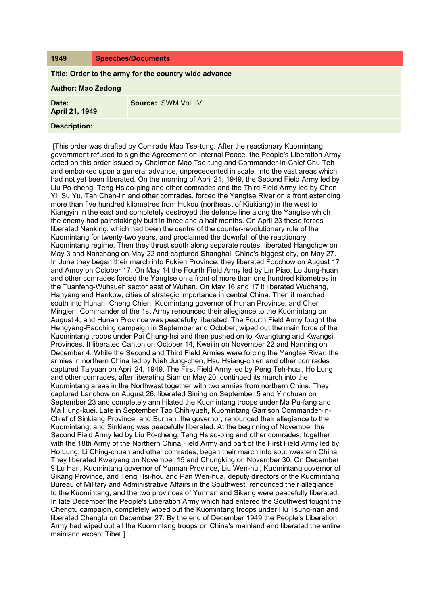| 1949                                                  |  | <b>Speeches/Documents</b> |  |
|-------------------------------------------------------|--|---------------------------|--|
| Title: Order to the army for the country wide advance |  |                           |  |
| <b>Author: Mao Zedong</b>                             |  |                           |  |
| Date:<br>April 21, 1949                               |  | Source: SWM Vol. IV       |  |
| <b>Description:.</b>                                  |  |                           |  |

[This order was drafted by Comrade Mao Tse-tung. After the reactionary Kuomintang government refused to sign the Agreement on Internal Peace, the People's Liberation Army acted on this order issued by Chairman Mao Tse-tung and Commander-in-Chief Chu Teh and embarked upon a general advance, unprecedented in scale, into the vast areas which had not yet been liberated. On the morning of April 21, 1949, the Second Field Army led by Liu Po-cheng, Teng Hsiao-ping and other comrades and the Third Field Army led by Chen Yi, Su Yu, Tan Chen-lin and other comrades, forced the Yangtse River on a front extending more than five hundred kilometres from Hukou (northeast of Kiukiang) in the west to Kiangyin in the east and completely destroyed the defence line along the Yangtse which the enemy had painstakingly built in three and a half months. On April 23 these forces liberated Nanking, which had been the centre of the counter-revolutionary rule of the Kuomintang for twenty-two years, and proclaimed the downfall of the reactionary Kuomintang regime. Then they thrust south along separate routes, liberated Hangchow on May 3 and Nanchang on May 22 and captured Shanghai, China's biggest city, on May 27. In June they began their march into Fukien Province; they liberated Foochow on August 17 and Amoy on October 17. On May 14 the Fourth Field Army led by Lin Piao, Lo Jung-huan and other comrades forced the Yangtse on a front of more than one hundred kilometres in the Tuanfeng-Wuhsueh sector east of Wuhan. On May 16 and 17 it liberated Wuchang, Hanyang and Hankow, cities of strategic importance in central China. Then it marched south into Hunan. Cheng Chien, Kuomintang governor of Hunan Province, and Chen Mingjen, Commander of the 1st Army renounced their allegiance to the Kuomintang on August 4, and Hunan Province was peacefully liberated. The Fourth Field Army fought the Hengyang-Paoching campaign in September and October, wiped out the main force of the Kuomintang troops under Pai Chung-hsi and then pushed on to Kwangtung and Kwangsi Provinces. It liberated Canton on October 14, Kweilin on November 22 and Nanning on December 4. While the Second and Third Field Armies were forcing the Yangtse River, the armies in northern China led by Nieh Jung-chen, Hsu Hsiang-chien and other comrades captured Taiyuan on April 24, 1949. The First Field Army led by Peng Teh-huai, Ho Lung and other comrades, after liberating Sian on May 20, continued its march into the Kuomintang areas in the Northwest together with two armies from northern China. They captured Lanchow on August 26, liberated Sining on September 5 and Yinchuan on September 23 and completely annihilated the Kuomintang troops under Ma Pu-fang and Ma Hung-kuei. Late in September Tao Chih-yueh, Kuomintang Garrison Commander-in-Chief of Sinkiang Province, and Burhan, the governor, renounced their allegiance to the Kuomintang, and Sinkiang was peacefully liberated. At the beginning of November the Second Field Army led by Liu Po-cheng, Teng Hsiao-ping and other comrades, together with the 18th Army of the Northern China Field Army and part of the First Field Army led by Ho Lung, Li Ching-chuan and other comrades, began their march into southwestern China. They liberated Kweiyang on November 15 and Chungking on November 30. On December 9 Lu Han, Kuomintang governor of Yunnan Province, Liu Wen-hui, Kuomintang governor of Sikang Province, and Teng Hsi-hou and Pan Wen-hua, deputy directors of the Kuomintang Bureau of Military and Administrative Affairs in the Southwest, renounced their allegiance to the Kuomintang, and the two provinces of Yunnan and Sikang were peacefully liberated. In late December the People's Liberation Army which had entered the Southwest fought the Chengtu campaign, completely wiped out the Kuomintang troops under Hu Tsung-nan and liberated Chengtu on December 27. By the end of December 1949 the People's Liberation Army had wiped out all the Kuomintang troops on China's mainland and liberated the entire mainland except Tibet.]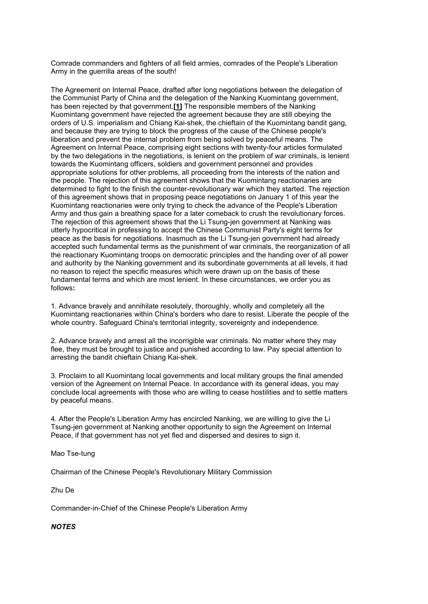Comrade commanders and fighters of all field armies, comrades of the People's Liberation Army in the guerrilla areas of the south!

The Agreement on Internal Peace, drafted after long negotiations between the delegation of the Communist Party of China and the delegation of the Nanking Kuomintang government, has been rejected by that government.**[\[1\]](http://www.marxists.org/reference/archive/mao/selected-works/volume-4/mswv4_61.htm#bm1#bm1)** The responsible members of the Nanking Kuomintang government have rejected the agreement because they are still obeying the orders of U.S. imperialism and Chiang Kai-shek, the chieftain of the Kuomintang bandit gang, and because they are trying to block the progress of the cause of the Chinese people's liberation and prevent the internal problem from being solved by peaceful means. The Agreement on Internal Peace, comprising eight sections with twenty-four articles formulated by the two delegations in the negotiations, is lenient on the problem of war criminals, is lenient towards the Kuomintang officers, soldiers and government personnel and provides appropriate solutions for other problems, all proceeding from the interests of the nation and the people. The rejection of this agreement shows that the Kuomintang reactionaries are determined to fight to the finish the counter-revolutionary war which they started. The rejection of this agreement shows that in proposing peace negotiations on January 1 of this year the Kuomintang reactionaries were only trying to check the advance of the People's Liberation Army and thus gain a breathing space for a later comeback to crush the revolutionary forces. The rejection of this agreement shows that the Li Tsung-jen government at Nanking was utterly hypocritical in professing to accept the Chinese Communist Party's eight terms for peace as the basis for negotiations. Inasmuch as the Li Tsung-jen government had already accepted such fundamental terms as the punishment of war criminals, the reorganization of all the reactionary Kuomintang troops on democratic principles and the handing over of all power and authority by the Nanking government and its subordinate governments at all levels, it had no reason to reject the specific measures which were drawn up on the basis of these fundamental terms and which are most lenient. In these circumstances, we order you as follows**:** 

1. Advance bravely and annihilate resolutely, thoroughly, wholly and completely all the Kuomintang reactionaries within China's borders who dare to resist. Liberate the people of the whole country. Safeguard China's territorial integrity, sovereignty and independence.

2. Advance bravely and arrest all the incorrigible war criminals. No matter where they may flee, they must be brought to justice and punished according to law. Pay special attention to arresting the bandit chieftain Chiang Kai-shek.

3. Proclaim to all Kuomintang local governments and local military groups the final amended version of the Agreement on Internal Peace. In accordance with its general ideas, you may conclude local agreements with those who are willing to cease hostilities and to settle matters by peaceful means.

4. After the People's Liberation Army has encircled Nanking, we are willing to give the Li Tsung-jen government at Nanking another opportunity to sign the Agreement on Internal Peace, if that government has not yet fled and dispersed and desires to sign it.

Mao Tse-tung

Chairman of the Chinese People's Revolutionary Military Commission

Zhu De

Commander-in-Chief of the Chinese People's Liberation Army

*NOTES*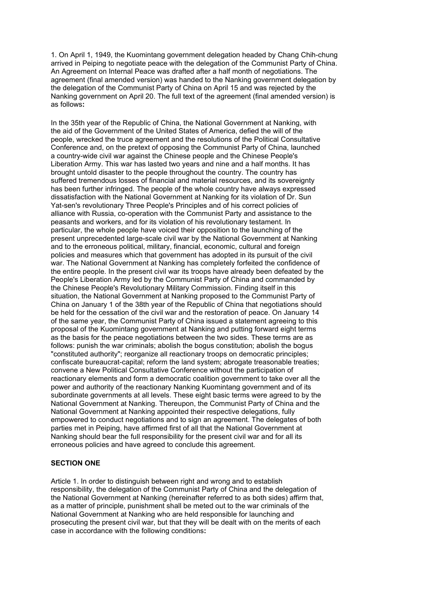1. On April 1, 1949, the Kuomintang government delegation headed by Chang Chih-chung arrived in Peiping to negotiate peace with the delegation of the Communist Party of China. An Agreement on Internal Peace was drafted after a half month of negotiations. The agreement (final amended version) was handed to the Nanking government delegation by the delegation of the Communist Party of China on April 15 and was rejected by the Nanking government on April 20. The full text of the agreement (final amended version) is as follows**:** 

In the 35th year of the Republic of China, the National Government at Nanking, with the aid of the Government of the United States of America, defied the will of the people, wrecked the truce agreement and the resolutions of the Political Consultative Conference and, on the pretext of opposing the Communist Party of China, launched a country-wide civil war against the Chinese people and the Chinese People's Liberation Army. This war has lasted two years and nine and a half months. It has brought untold disaster to the people throughout the country. The country has suffered tremendous losses of financial and material resources, and its sovereignty has been further infringed. The people of the whole country have always expressed dissatisfaction with the National Government at Nanking for its violation of Dr. Sun Yat-sen's revolutionary Three People's Principles and of his correct policies of alliance with Russia, co-operation with the Communist Party and assistance to the peasants and workers, and for its violation of his revolutionary testament. In particular, the whole people have voiced their opposition to the launching of the present unprecedented large-scale civil war by the National Government at Nanking and to the erroneous political, military, financial, economic, cultural and foreign policies and measures which that government has adopted in its pursuit of the civil war. The National Government at Nanking has completely forfeited the confidence of the entire people. In the present civil war its troops have already been defeated by the People's Liberation Army led by the Communist Party of China and commanded by the Chinese People's Revolutionary Military Commission. Finding itself in this situation, the National Government at Nanking proposed to the Communist Party of China on January 1 of the 38th year of the Republic of China that negotiations should be held for the cessation of the civil war and the restoration of peace. On January 14 of the same year, the Communist Party of China issued a statement agreeing to this proposal of the Kuomintang government at Nanking and putting forward eight terms as the basis for the peace negotiations between the two sides. These terms are as follows: punish the war criminals; abolish the bogus constitution; abolish the bogus "constituted authority"; reorganize all reactionary troops on democratic principles; confiscate bureaucrat-capital; reform the land system; abrogate treasonable treaties; convene a New Political Consultative Conference without the participation of reactionary elements and form a democratic coalition government to take over all the power and authority of the reactionary Nanking Kuomintang government and of its subordinate governments at all levels. These eight basic terms were agreed to by the National Government at Nanking. Thereupon, the Communist Party of China and the National Government at Nanking appointed their respective delegations, fully empowered to conduct negotiations and to sign an agreement. The delegates of both parties met in Peiping, have affirmed first of all that the National Government at Nanking should bear the full responsibility for the present civil war and for all its erroneous policies and have agreed to conclude this agreement.

#### **SECTION ONE**

Article 1. In order to distinguish between right and wrong and to establish responsibility, the delegation of the Communist Party of China and the delegation of the National Government at Nanking (hereinafter referred to as both sides) affirm that, as a matter of principle, punishment shall be meted out to the war criminals of the National Government at Nanking who are held responsible for launching and prosecuting the present civil war, but that they will be dealt with on the merits of each case in accordance with the following conditions**:**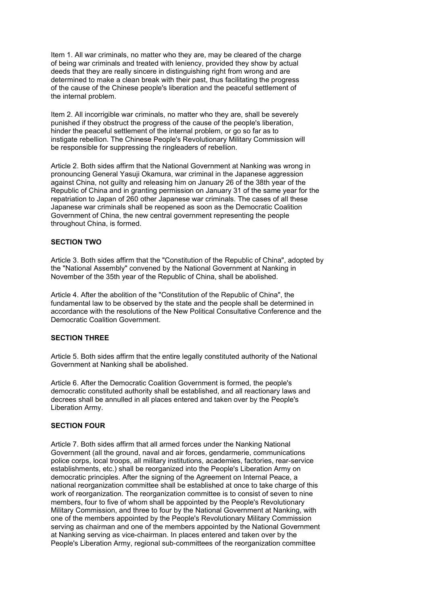Item 1. All war criminals, no matter who they are, may be cleared of the charge of being war criminals and treated with leniency, provided they show by actual deeds that they are really sincere in distinguishing right from wrong and are determined to make a clean break with their past, thus facilitating the progress of the cause of the Chinese people's liberation and the peaceful settlement of the internal problem.

Item 2. All incorrigible war criminals, no matter who they are, shall be severely punished if they obstruct the progress of the cause of the people's liberation, hinder the peaceful settlement of the internal problem, or go so far as to instigate rebellion. The Chinese People's Revolutionary Military Commission will be responsible for suppressing the ringleaders of rebellion.

Article 2. Both sides affirm that the National Government at Nanking was wrong in pronouncing General Yasuji Okamura, war criminal in the Japanese aggression against China, not guilty and releasing him on January 26 of the 38th year of the Republic of China and in granting permission on January 31 of the same year for the repatriation to Japan of 260 other Japanese war criminals. The cases of all these Japanese war criminals shall be reopened as soon as the Democratic Coalition Government of China, the new central government representing the people throughout China, is formed.

## **SECTION TWO**

Article 3. Both sides affirm that the "Constitution of the Republic of China", adopted by the "National Assembly" convened by the National Government at Nanking in November of the 35th year of the Republic of China, shall be abolished.

Article 4. After the abolition of the "Constitution of the Republic of China", the fundamental law to be observed by the state and the people shall be determined in accordance with the resolutions of the New Political Consultative Conference and the Democratic Coalition Government.

# **SECTION THREE**

Article 5. Both sides affirm that the entire legally constituted authority of the National Government at Nanking shall be abolished.

Article 6. After the Democratic Coalition Government is formed, the people's democratic constituted authority shall be established, and all reactionary laws and decrees shall be annulled in all places entered and taken over by the People's Liberation Army.

# **SECTION FOUR**

Article 7. Both sides affirm that all armed forces under the Nanking National Government (all the ground, naval and air forces, gendarmerie, communications police corps, local troops, all military institutions, academies, factories, rear-service establishments, etc.) shall be reorganized into the People's Liberation Army on democratic principles. After the signing of the Agreement on Internal Peace, a national reorganization committee shall be established at once to take charge of this work of reorganization. The reorganization committee is to consist of seven to nine members, four to five of whom shall be appointed by the People's Revolutionary Military Commission, and three to four by the National Government at Nanking, with one of the members appointed by the People's Revolutionary Military Commission serving as chairman and one of the members appointed by the National Government at Nanking serving as vice-chairman. In places entered and taken over by the People's Liberation Army, regional sub-committees of the reorganization committee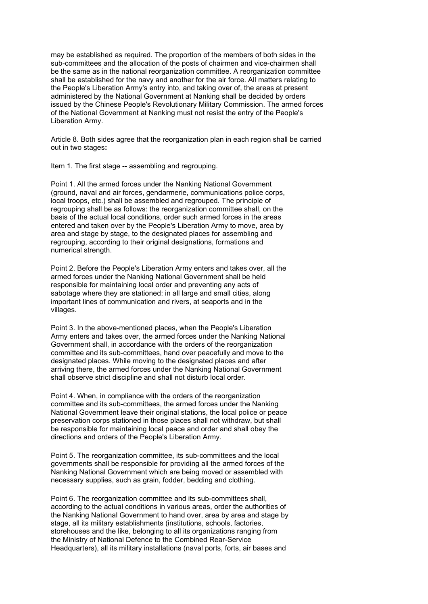may be established as required. The proportion of the members of both sides in the sub-committees and the allocation of the posts of chairmen and vice-chairmen shall be the same as in the national reorganization committee. A reorganization committee shall be established for the navy and another for the air force. All matters relating to the People's Liberation Army's entry into, and taking over of, the areas at present administered by the National Government at Nanking shall be decided by orders issued by the Chinese People's Revolutionary Military Commission. The armed forces of the National Government at Nanking must not resist the entry of the People's Liberation Army.

Article 8. Both sides agree that the reorganization plan in each region shall be carried out in two stages**:** 

Item 1. The first stage -- assembling and regrouping.

Point 1. All the armed forces under the Nanking National Government (ground, naval and air forces, gendarmerie, communications police corps, local troops, etc.) shall be assembled and regrouped. The principle of regrouping shall be as follows: the reorganization committee shall, on the basis of the actual local conditions, order such armed forces in the areas entered and taken over by the People's Liberation Army to move, area by area and stage by stage, to the designated places for assembling and regrouping, according to their original designations, formations and numerical strength.

Point 2. Before the People's Liberation Army enters and takes over, all the armed forces under the Nanking National Government shall be held responsible for maintaining local order and preventing any acts of sabotage where they are stationed: in all large and small cities, along important lines of communication and rivers, at seaports and in the villages.

Point 3. In the above-mentioned places, when the People's Liberation Army enters and takes over, the armed forces under the Nanking National Government shall, in accordance with the orders of the reorganization committee and its sub-committees, hand over peacefully and move to the designated places. While moving to the designated places and after arriving there, the armed forces under the Nanking National Government shall observe strict discipline and shall not disturb local order.

Point 4. When, in compliance with the orders of the reorganization committee and its sub-committees, the armed forces under the Nanking National Government leave their original stations, the local police or peace preservation corps stationed in those places shall not withdraw, but shall be responsible for maintaining local peace and order and shall obey the directions and orders of the People's Liberation Army.

Point 5. The reorganization committee, its sub-committees and the local governments shall be responsible for providing all the armed forces of the Nanking National Government which are being moved or assembled with necessary supplies, such as grain, fodder, bedding and clothing.

Point 6. The reorganization committee and its sub-committees shall, according to the actual conditions in various areas, order the authorities of the Nanking National Government to hand over, area by area and stage by stage, all its military establishments (institutions, schools, factories, storehouses and the like, belonging to all its organizations ranging from the Ministry of National Defence to the Combined Rear-Service Headquarters), all its military installations (naval ports, forts, air bases and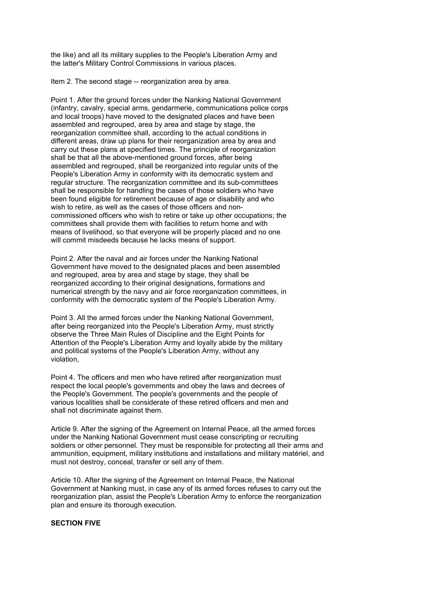the like) and all its military supplies to the People's Liberation Army and the latter's Military Control Commissions in various places.

Item 2. The second stage -- reorganization area by area.

Point 1. After the ground forces under the Nanking National Government (infantry, cavalry, special arms, gendarmerie, communications police corps and local troops) have moved to the designated places and have been assembled and regrouped, area by area and stage by stage, the reorganization committee shall, according to the actual conditions in different areas, draw up plans for their reorganization area by area and carry out these plans at specified times. The principle of reorganization shall be that all the above-mentioned ground forces, after being assembled and regrouped, shall be reorganized into regular units of the People's Liberation Army in conformity with its democratic system and regular structure. The reorganization committee and its sub-committees shall be responsible for handling the cases of those soldiers who have been found eligible for retirement because of age or disability and who wish to retire, as well as the cases of those officers and noncommissioned officers who wish to retire or take up other occupations; the committees shall provide them with facilities to return home and with means of livelihood, so that everyone will be properly placed and no one will commit misdeeds because he lacks means of support.

Point 2. After the naval and air forces under the Nanking National Government have moved to the designated places and been assembled and regrouped, area by area and stage by stage, they shall be reorganized according to their original designations, formations and numerical strength by the navy and air force reorganization committees, in conformity with the democratic system of the People's Liberation Army.

Point 3. All the armed forces under the Nanking National Government, after being reorganized into the People's Liberation Army, must strictly observe the Three Main Rules of Discipline and the Eight Points for Attention of the People's Liberation Army and loyally abide by the military and political systems of the People's Liberation Army, without any violation,

Point 4. The officers and men who have retired after reorganization must respect the local people's governments and obey the laws and decrees of the People's Government. The people's governments and the people of various localities shall be considerate of these retired officers and men and shall not discriminate against them.

Article 9. After the signing of the Agreement on Internal Peace, all the armed forces under the Nanking National Government must cease conscripting or recruiting soldiers or other personnel. They must be responsible for protecting all their arms and ammunition, equipment, military institutions and installations and military matériel, and must not destroy, conceal, transfer or sell any of them.

Article 10. After the signing of the Agreement on Internal Peace, the National Government at Nanking must, in case any of its armed forces refuses to carry out the reorganization plan, assist the People's Liberation Army to enforce the reorganization plan and ensure its thorough execution.

## **SECTION FIVE**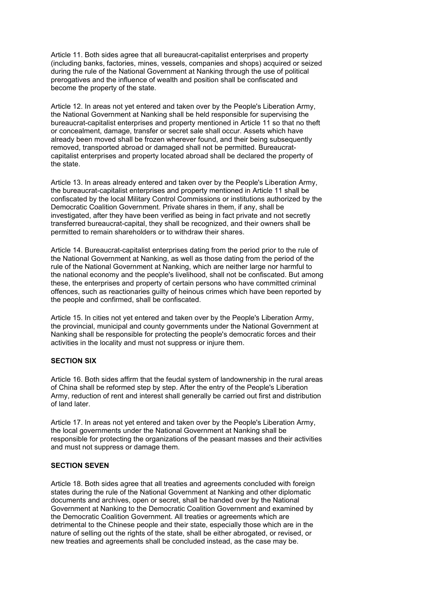Article 11. Both sides agree that all bureaucrat-capitalist enterprises and property (including banks, factories, mines, vessels, companies and shops) acquired or seized during the rule of the National Government at Nanking through the use of political prerogatives and the influence of wealth and position shall be confiscated and become the property of the state.

Article 12. In areas not yet entered and taken over by the People's Liberation Army, the National Government at Nanking shall be held responsible for supervising the bureaucrat-capitalist enterprises and property mentioned in Article 11 so that no theft or concealment, damage, transfer or secret sale shall occur. Assets which have already been moved shall be frozen wherever found, and their being subsequently removed, transported abroad or damaged shall not be permitted. Bureaucratcapitalist enterprises and property located abroad shall be declared the property of the state.

Article 13. In areas already entered and taken over by the People's Liberation Army, the bureaucrat-capitalist enterprises and property mentioned in Article 11 shall be confiscated by the local Military Control Commissions or institutions authorized by the Democratic Coalition Government. Private shares in them, if any, shall be investigated, after they have been verified as being in fact private and not secretly transferred bureaucrat-capital, they shall be recognized, and their owners shall be permitted to remain shareholders or to withdraw their shares.

Article 14. Bureaucrat-capitalist enterprises dating from the period prior to the rule of the National Government at Nanking, as well as those dating from the period of the rule of the National Government at Nanking, which are neither large nor harmful to the national economy and the people's livelihood, shall not be confiscated. But among these, the enterprises and property of certain persons who have committed criminal offences, such as reactionaries guilty of heinous crimes which have been reported by the people and confirmed, shall be confiscated.

Article 15. In cities not yet entered and taken over by the People's Liberation Army, the provincial, municipal and county governments under the National Government at Nanking shall be responsible for protecting the people's democratic forces and their activities in the locality and must not suppress or injure them.

## **SECTION SIX**

Article 16. Both sides affirm that the feudal system of landownership in the rural areas of China shall be reformed step by step. After the entry of the People's Liberation Army, reduction of rent and interest shall generally be carried out first and distribution of land later.

Article 17. In areas not yet entered and taken over by the People's Liberation Army, the local governments under the National Government at Nanking shall be responsible for protecting the organizations of the peasant masses and their activities and must not suppress or damage them.

#### **SECTION SEVEN**

Article 18. Both sides agree that all treaties and agreements concluded with foreign states during the rule of the National Government at Nanking and other diplomatic documents and archives, open or secret, shall be handed over by the National Government at Nanking to the Democratic Coalition Government and examined by the Democratic Coalition Government. All treaties or agreements which are detrimental to the Chinese people and their state, especially those which are in the nature of selling out the rights of the state, shall be either abrogated, or revised, or new treaties and agreements shall be concluded instead, as the case may be.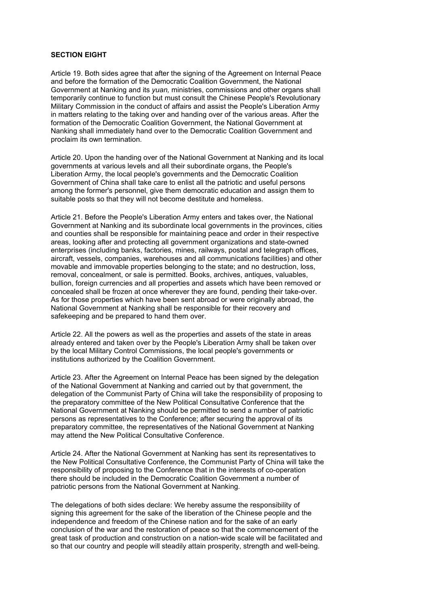## **SECTION EIGHT**

Article 19. Both sides agree that after the signing of the Agreement on Internal Peace and before the formation of the Democratic Coalition Government, the National Government at Nanking and its *yuan,* ministries, commissions and other organs shall temporarily continue to function but must consult the Chinese People's Revolutionary Military Commission in the conduct of affairs and assist the People's Liberation Army in matters relating to the taking over and handing over of the various areas. After the formation of the Democratic Coalition Government, the National Government at Nanking shall immediately hand over to the Democratic Coalition Government and proclaim its own termination.

Article 20. Upon the handing over of the National Government at Nanking and its local governments at various levels and all their subordinate organs, the People's Liberation Army, the local people's governments and the Democratic Coalition Government of China shall take care to enlist all the patriotic and useful persons among the former's personnel, give them democratic education and assign them to suitable posts so that they will not become destitute and homeless.

Article 21. Before the People's Liberation Army enters and takes over, the National Government at Nanking and its subordinate local governments in the provinces, cities and counties shall be responsible for maintaining peace and order in their respective areas, looking after and protecting all government organizations and state-owned enterprises (including banks, factories, mines, railways, postal and telegraph offices, aircraft, vessels, companies, warehouses and all communications facilities) and other movable and immovable properties belonging to the state; and no destruction, loss, removal, concealment, or sale is permitted. Books, archives, antiques, valuables, bullion, foreign currencies and all properties and assets which have been removed or concealed shall be frozen at once wherever they are found, pending their take-over. As for those properties which have been sent abroad or were originally abroad, the National Government at Nanking shall be responsible for their recovery and safekeeping and be prepared to hand them over.

Article 22. All the powers as well as the properties and assets of the state in areas already entered and taken over by the People's Liberation Army shall be taken over by the local Military Control Commissions, the local people's governments or institutions authorized by the Coalition Government.

Article 23. After the Agreement on Internal Peace has been signed by the delegation of the National Government at Nanking and carried out by that government, the delegation of the Communist Party of China will take the responsibility of proposing to the preparatory committee of the New Political Consultative Conference that the National Government at Nanking should be permitted to send a number of patriotic persons as representatives to the Conference; after securing the approval of its preparatory committee, the representatives of the National Government at Nanking may attend the New Political Consultative Conference.

Article 24. After the National Government at Nanking has sent its representatives to the New Political Consultative Conference, the Communist Party of China will take the responsibility of proposing to the Conference that in the interests of co-operation there should be included in the Democratic Coalition Government a number of patriotic persons from the National Government at Nanking.

The delegations of both sides declare: We hereby assume the responsibility of signing this agreement for the sake of the liberation of the Chinese people and the independence and freedom of the Chinese nation and for the sake of an early conclusion of the war and the restoration of peace so that the commencement of the great task of production and construction on a nation-wide scale will be facilitated and so that our country and people will steadily attain prosperity, strength and well-being.